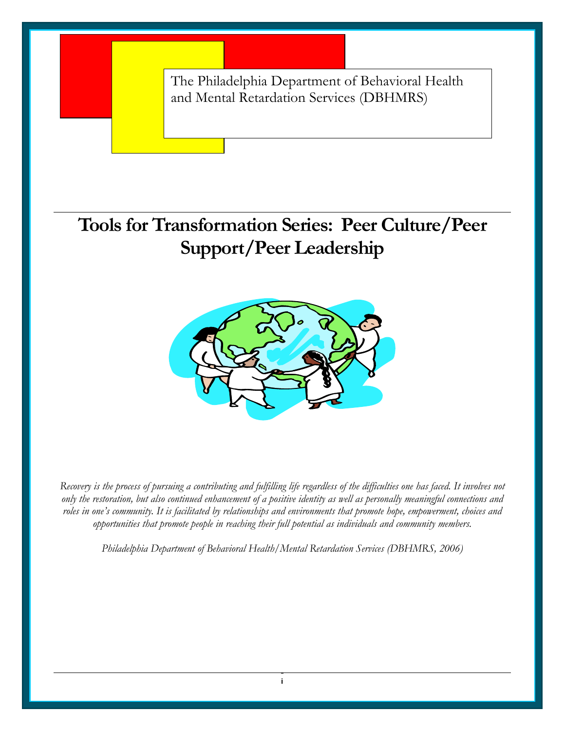The Philadelphia Department of Behavioral Health and Mental Retardation Services (DBHMRS)

**Tools for Transformation Series: Peer Culture/Peer Support/Peer Leadership** 



*Recovery is the process of pursuing a contributing and fulfilling life regardless of the difficulties one has faced. It involves not only the restoration, but also continued enhancement of a positive identity as well as personally meaningful connections and roles in one's community. It is facilitated by relationships and environments that promote hope, empowerment, choices and opportunities that promote people in reaching their full potential as individuals and community members.* 

*Philadelphia Department of Behavioral Health/Mental Retardation Services (DBHMRS, 2006)*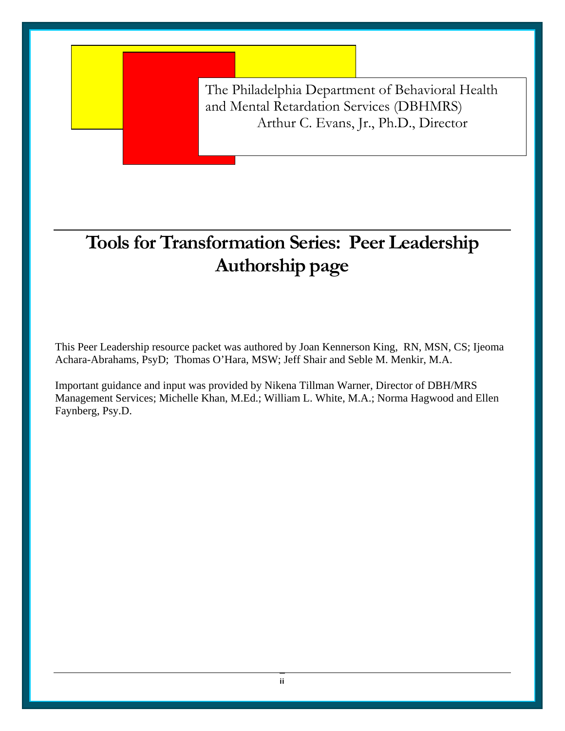The Philadelphia Department of Behavioral Health and Mental Retardation Services (DBHMRS) Arthur C. Evans, Jr., Ph.D., Director

# **Tools for Transformation Series: Peer Leadership Authorship page**

This Peer Leadership resource packet was authored by Joan Kennerson King, RN, MSN, CS; Ijeoma Achara-Abrahams, PsyD; Thomas O'Hara, MSW; Jeff Shair and Seble M. Menkir, M.A.

Important guidance and input was provided by Nikena Tillman Warner, Director of DBH/MRS Management Services; Michelle Khan, M.Ed.; William L. White, M.A.; Norma Hagwood and Ellen Faynberg, Psy.D.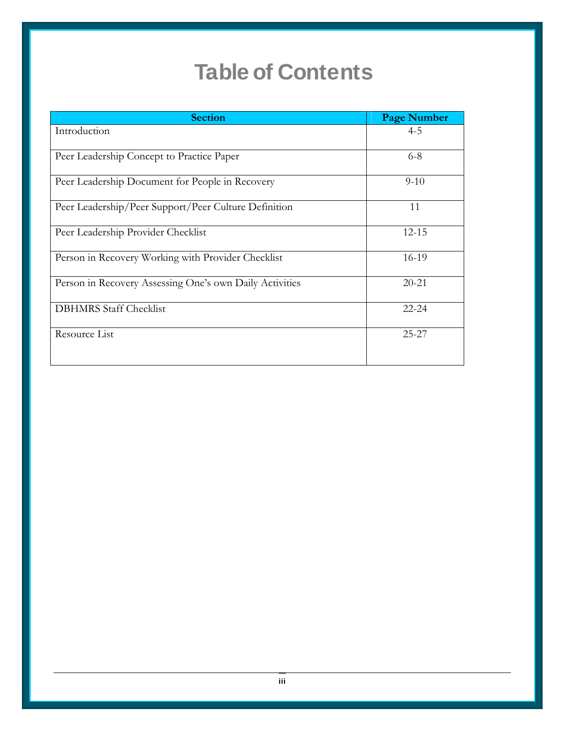# **Table of Contents**

| <b>Section</b>                                          | <b>Page Number</b> |
|---------------------------------------------------------|--------------------|
| Introduction                                            | $4 - 5$            |
| Peer Leadership Concept to Practice Paper               | $6 - 8$            |
| Peer Leadership Document for People in Recovery         | $9 - 10$           |
| Peer Leadership/Peer Support/Peer Culture Definition    | 11                 |
| Peer Leadership Provider Checklist                      | $12 - 15$          |
| Person in Recovery Working with Provider Checklist      | 16-19              |
| Person in Recovery Assessing One's own Daily Activities | $20 - 21$          |
| <b>DBHMRS</b> Staff Checklist                           | $22 - 24$          |
| Resource List                                           | $25 - 27$          |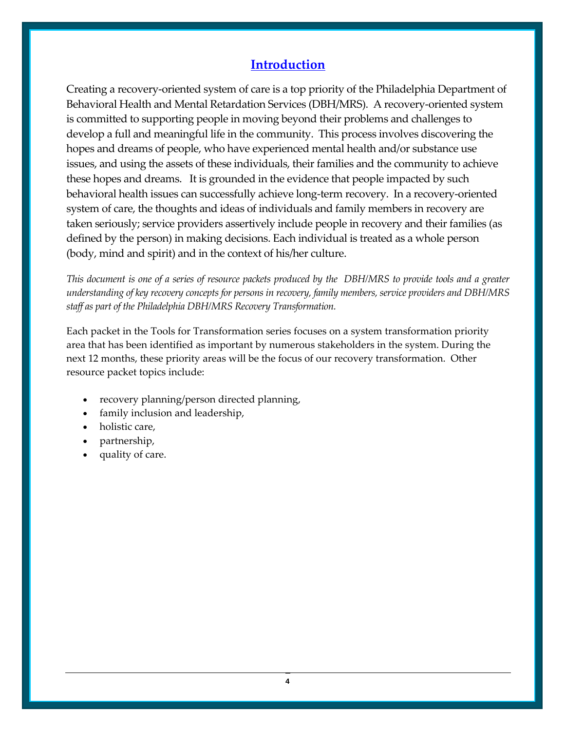## **Introduction**

Creating a recovery‐oriented system of care is a top priority of the Philadelphia Department of Behavioral Health and Mental Retardation Services (DBH/MRS). A recovery‐oriented system is committed to supporting people in moving beyond their problems and challenges to develop a full and meaningful life in the community. This process involves discovering the hopes and dreams of people, who have experienced mental health and/or substance use issues, and using the assets of these individuals, their families and the community to achieve these hopes and dreams. It is grounded in the evidence that people impacted by such behavioral health issues can successfully achieve long-term recovery. In a recovery-oriented system of care, the thoughts and ideas of individuals and family members in recovery are taken seriously; service providers assertively include people in recovery and their families (as defined by the person) in making decisions. Each individual is treated as a whole person (body, mind and spirit) and in the context of his/her culture.

This document is one of a series of resource packets produced by the DBH/MRS to provide tools and a greater *understanding of key recovery concepts for persons in recovery, family members, service providers and DBH/MRS staff as part of the Philadelphia DBH/MRS Recovery Transformation.*

Each packet in the Tools for Transformation series focuses on a system transformation priority area that has been identified as important by numerous stakeholders in the system. During the next 12 months, these priority areas will be the focus of our recovery transformation. Other resource packet topics include:

- recovery planning/person directed planning,
- family inclusion and leadership,
- holistic care,
- partnership,
- quality of care.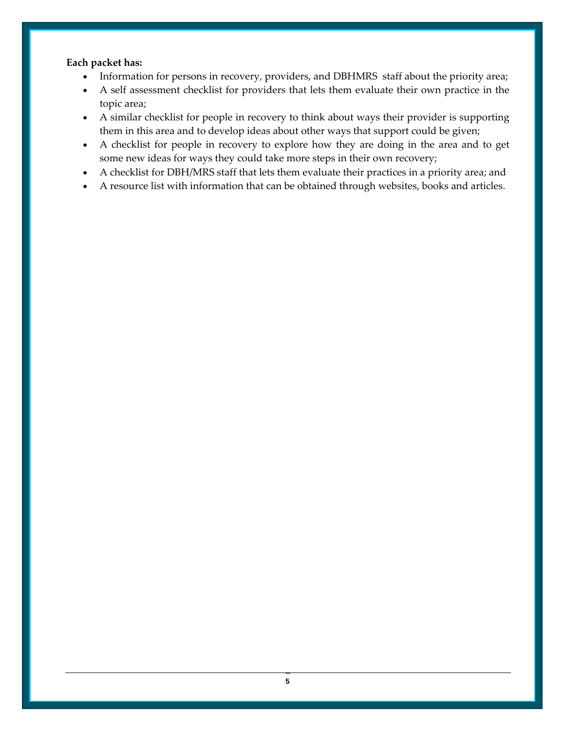#### **Each packet has:**

- Information for persons in recovery, providers, and DBHMRS staff about the priority area;
- A self assessment checklist for providers that lets them evaluate their own practice in the topic area;
- A similar checklist for people in recovery to think about ways their provider is supporting them in this area and to develop ideas about other ways that support could be given;
- A checklist for people in recovery to explore how they are doing in the area and to get some new ideas for ways they could take more steps in their own recovery;
- A checklist for DBH/MRS staff that lets them evaluate their practices in a priority area; and
- A resource list with information that can be obtained through websites, books and articles.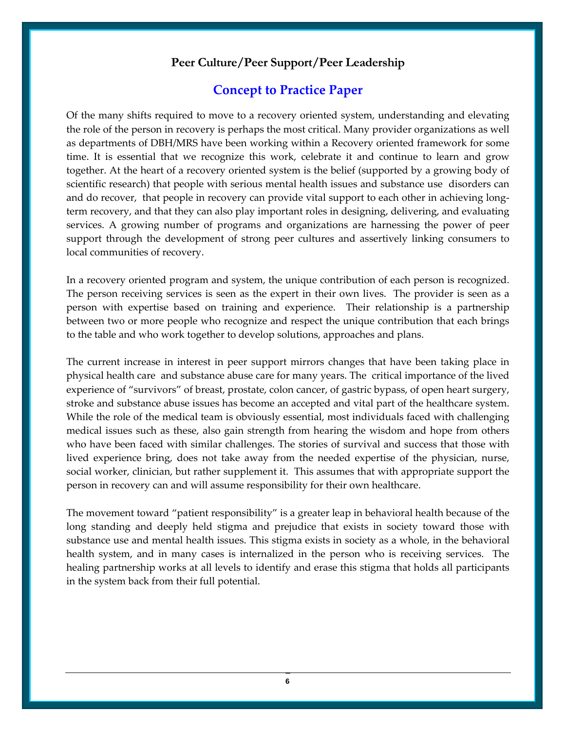#### **Peer Culture/Peer Support/Peer Leadership**

#### **Concept to Practice Paper**

Of the many shifts required to move to a recovery oriented system, understanding and elevating the role of the person in recovery is perhaps the most critical. Many provider organizations as well as departments of DBH/MRS have been working within a Recovery oriented framework for some time. It is essential that we recognize this work, celebrate it and continue to learn and grow together. At the heart of a recovery oriented system is the belief (supported by a growing body of scientific research) that people with serious mental health issues and substance use disorders can and do recover, that people in recovery can provide vital support to each other in achieving longterm recovery, and that they can also play important roles in designing, delivering, and evaluating services. A growing number of programs and organizations are harnessing the power of peer support through the development of strong peer cultures and assertively linking consumers to local communities of recovery.

In a recovery oriented program and system, the unique contribution of each person is recognized. The person receiving services is seen as the expert in their own lives. The provider is seen as a person with expertise based on training and experience. Their relationship is a partnership between two or more people who recognize and respect the unique contribution that each brings to the table and who work together to develop solutions, approaches and plans.

The current increase in interest in peer support mirrors changes that have been taking place in physical health care and substance abuse care for many years. The critical importance of the lived experience of "survivors" of breast, prostate, colon cancer, of gastric bypass, of open heart surgery, stroke and substance abuse issues has become an accepted and vital part of the healthcare system. While the role of the medical team is obviously essential, most individuals faced with challenging medical issues such as these, also gain strength from hearing the wisdom and hope from others who have been faced with similar challenges. The stories of survival and success that those with lived experience bring, does not take away from the needed expertise of the physician, nurse, social worker, clinician, but rather supplement it. This assumes that with appropriate support the person in recovery can and will assume responsibility for their own healthcare.

The movement toward "patient responsibility" is a greater leap in behavioral health because of the long standing and deeply held stigma and prejudice that exists in society toward those with substance use and mental health issues. This stigma exists in society as a whole, in the behavioral health system, and in many cases is internalized in the person who is receiving services. The healing partnership works at all levels to identify and erase this stigma that holds all participants in the system back from their full potential.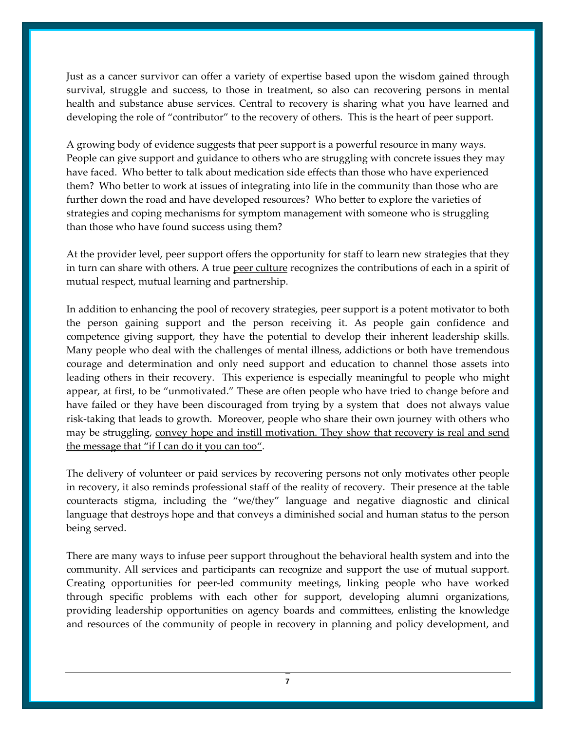Just as a cancer survivor can offer a variety of expertise based upon the wisdom gained through survival, struggle and success, to those in treatment, so also can recovering persons in mental health and substance abuse services. Central to recovery is sharing what you have learned and developing the role of "contributor" to the recovery of others. This is the heart of peer support.

A growing body of evidence suggests that peer support is a powerful resource in many ways. People can give support and guidance to others who are struggling with concrete issues they may have faced. Who better to talk about medication side effects than those who have experienced them? Who better to work at issues of integrating into life in the community than those who are further down the road and have developed resources? Who better to explore the varieties of strategies and coping mechanisms for symptom management with someone who is struggling than those who have found success using them?

At the provider level, peer support offers the opportunity for staff to learn new strategies that they in turn can share with others. A true peer culture recognizes the contributions of each in a spirit of mutual respect, mutual learning and partnership.

In addition to enhancing the pool of recovery strategies, peer support is a potent motivator to both the person gaining support and the person receiving it. As people gain confidence and competence giving support, they have the potential to develop their inherent leadership skills. Many people who deal with the challenges of mental illness, addictions or both have tremendous courage and determination and only need support and education to channel those assets into leading others in their recovery. This experience is especially meaningful to people who might appear, at first, to be "unmotivated." These are often people who have tried to change before and have failed or they have been discouraged from trying by a system that does not always value risk‐taking that leads to growth. Moreover, people who share their own journey with others who may be struggling, convey hope and instill motivation. They show that recovery is real and send the message that "if I can do it you can too".

The delivery of volunteer or paid services by recovering persons not only motivates other people in recovery, it also reminds professional staff of the reality of recovery. Their presence at the table counteracts stigma, including the "we/they" language and negative diagnostic and clinical language that destroys hope and that conveys a diminished social and human status to the person being served.

There are many ways to infuse peer support throughout the behavioral health system and into the community. All services and participants can recognize and support the use of mutual support. Creating opportunities for peer‐led community meetings, linking people who have worked through specific problems with each other for support, developing alumni organizations, providing leadership opportunities on agency boards and committees, enlisting the knowledge and resources of the community of people in recovery in planning and policy development, and

7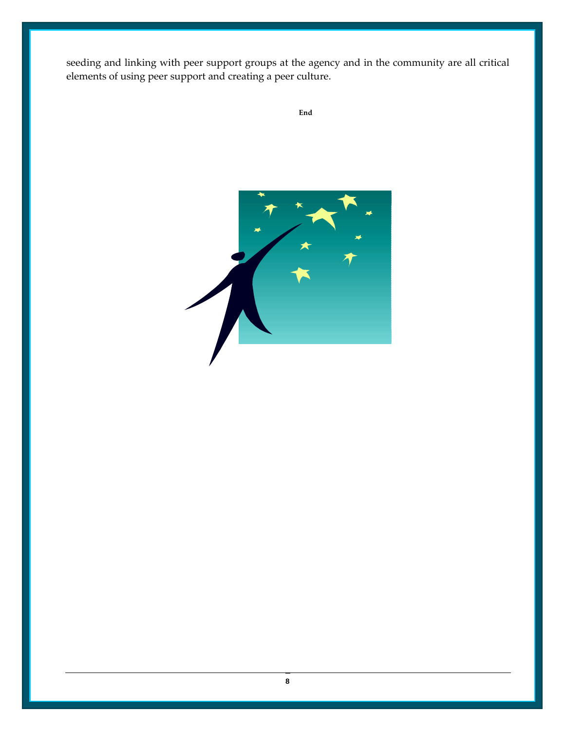seeding and linking with peer support groups at the agency and in the community are all critical elements of using peer support and creating a peer culture.



**End**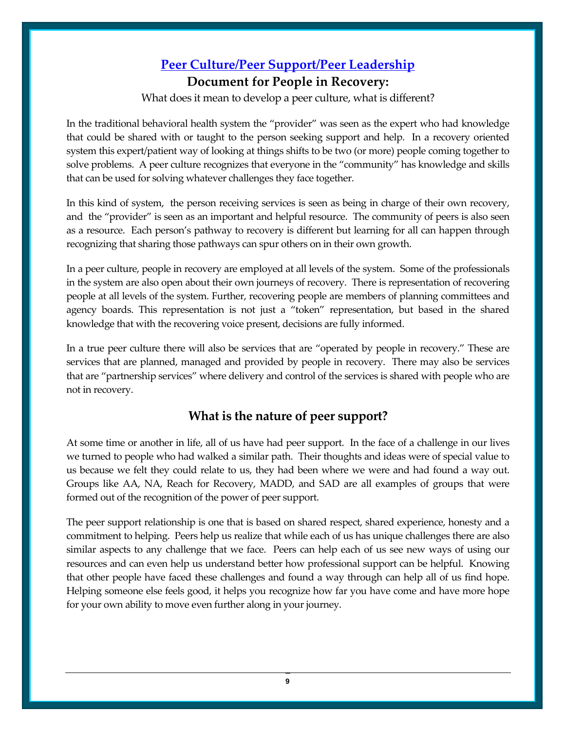## **Peer Culture/Peer Support/Peer Leadership**

#### **Document for People in Recovery:**

What does it mean to develop a peer culture, what is different?

In the traditional behavioral health system the "provider" was seen as the expert who had knowledge that could be shared with or taught to the person seeking support and help. In a recovery oriented system this expert/patient way of looking at things shifts to be two (or more) people coming together to solve problems. A peer culture recognizes that everyone in the "community" has knowledge and skills that can be used for solving whatever challenges they face together.

In this kind of system, the person receiving services is seen as being in charge of their own recovery, and the "provider" is seen as an important and helpful resource. The community of peers is also seen as a resource. Each person's pathway to recovery is different but learning for all can happen through recognizing that sharing those pathways can spur others on in their own growth.

In a peer culture, people in recovery are employed at all levels of the system. Some of the professionals in the system are also open about their own journeys of recovery. There is representation of recovering people at all levels of the system. Further, recovering people are members of planning committees and agency boards. This representation is not just a "token" representation, but based in the shared knowledge that with the recovering voice present, decisions are fully informed.

In a true peer culture there will also be services that are "operated by people in recovery." These are services that are planned, managed and provided by people in recovery. There may also be services that are "partnership services" where delivery and control of the services is shared with people who are not in recovery.

### **What is the nature of peer support?**

At some time or another in life, all of us have had peer support. In the face of a challenge in our lives we turned to people who had walked a similar path. Their thoughts and ideas were of special value to us because we felt they could relate to us, they had been where we were and had found a way out. Groups like AA, NA, Reach for Recovery, MADD, and SAD are all examples of groups that were formed out of the recognition of the power of peer support.

The peer support relationship is one that is based on shared respect, shared experience, honesty and a commitment to helping. Peers help us realize that while each of us has unique challenges there are also similar aspects to any challenge that we face. Peers can help each of us see new ways of using our resources and can even help us understand better how professional support can be helpful. Knowing that other people have faced these challenges and found a way through can help all of us find hope. Helping someone else feels good, it helps you recognize how far you have come and have more hope for your own ability to move even further along in your journey.

9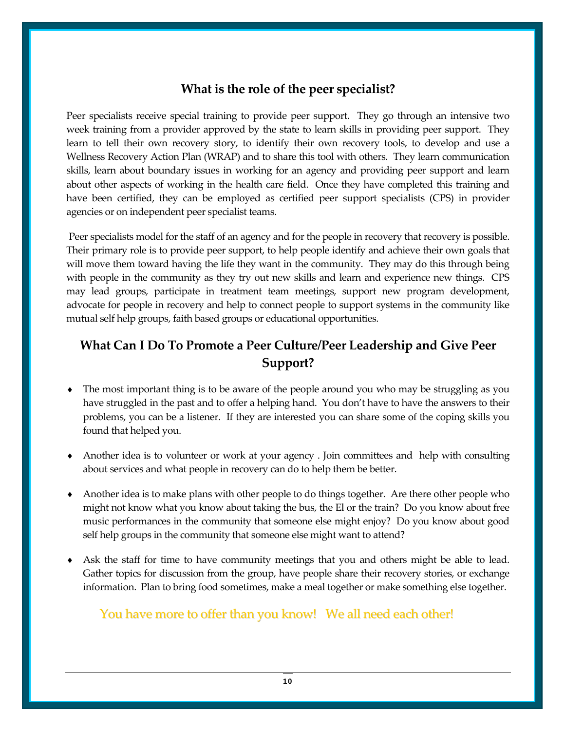### **What is the role of the peer specialist?**

Peer specialists receive special training to provide peer support. They go through an intensive two week training from a provider approved by the state to learn skills in providing peer support. They learn to tell their own recovery story, to identify their own recovery tools, to develop and use a Wellness Recovery Action Plan (WRAP) and to share this tool with others. They learn communication skills, learn about boundary issues in working for an agency and providing peer support and learn about other aspects of working in the health care field. Once they have completed this training and have been certified, they can be employed as certified peer support specialists (CPS) in provider agencies or on independent peer specialist teams.

Peer specialists model for the staff of an agency and for the people in recovery that recovery is possible. Their primary role is to provide peer support, to help people identify and achieve their own goals that will move them toward having the life they want in the community. They may do this through being with people in the community as they try out new skills and learn and experience new things. CPS may lead groups, participate in treatment team meetings, support new program development, advocate for people in recovery and help to connect people to support systems in the community like mutual self help groups, faith based groups or educational opportunities.

## **What Can I Do To Promote a Peer Culture/Peer Leadership and Give Peer Support?**

- The most important thing is to be aware of the people around you who may be struggling as you have struggled in the past and to offer a helping hand. You don't have to have the answers to their problems, you can be a listener. If they are interested you can share some of the coping skills you found that helped you.
- Another idea is to volunteer or work at your agency. Join committees and help with consulting about services and what people in recovery can do to help them be better.
- Another idea is to make plans with other people to do things together. Are there other people who might not know what you know about taking the bus, the El or the train? Do you know about free music performances in the community that someone else might enjoy? Do you know about good self help groups in the community that someone else might want to attend?
- Ask the staff for time to have community meetings that you and others might be able to lead. Gather topics for discussion from the group, have people share their recovery stories, or exchange information. Plan to bring food sometimes, make a meal together or make something else together.

## You have more to offer than you know! We all need each other!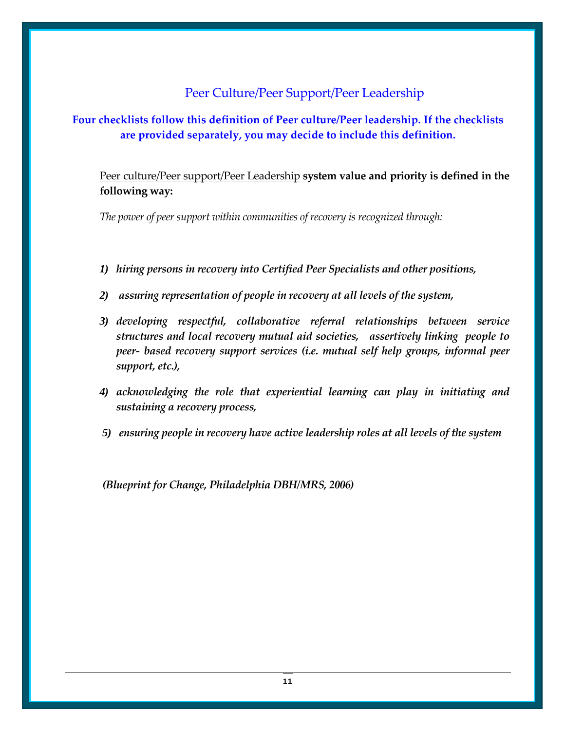## Peer Culture/Peer Support/Peer Leadership

**Four checklists follow this definition of Peer culture/Peer leadership. If the checklists are provided separately, you may decide to include this definition.**

Peer culture/Peer support/Peer Leadership **system value and priority is defined in the following way:**

*The power of peer support within communities of recovery is recognized through:*

- *1) hiring persons in recovery into Certified Peer Specialists and other positions,*
- *2) assuring representation of people in recovery at all levels of the system,*
- *3) developing respectful, collaborative referral relationships between service structures and local recovery mutual aid societies, assertively linking people to peer‐ based recovery support services (i.e. mutual self help groups, informal peer support, etc.),*
- *4) acknowledging the role that experiential learning can play in initiating and sustaining a recovery process,*
- *5) ensuring people in recovery have active leadership roles at all levels of the system*

*(Blueprint for Change, Philadelphia DBH/MRS, 2006)*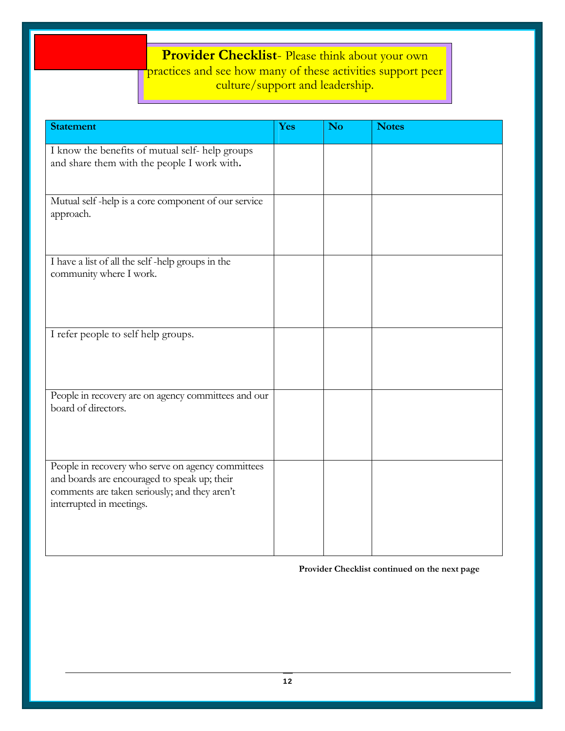## **Provider Checklist**- Please think about your own practices and see how many of these activities support peer culture/support and leadership.

| <b>Statement</b>                                                                                                                                                               | Yes | <b>No</b> | <b>Notes</b> |
|--------------------------------------------------------------------------------------------------------------------------------------------------------------------------------|-----|-----------|--------------|
| I know the benefits of mutual self-help groups<br>and share them with the people I work with.                                                                                  |     |           |              |
| Mutual self-help is a core component of our service<br>approach.                                                                                                               |     |           |              |
| I have a list of all the self-help groups in the<br>community where I work.                                                                                                    |     |           |              |
| I refer people to self help groups.                                                                                                                                            |     |           |              |
| People in recovery are on agency committees and our<br>board of directors.                                                                                                     |     |           |              |
| People in recovery who serve on agency committees<br>and boards are encouraged to speak up; their<br>comments are taken seriously; and they aren't<br>interrupted in meetings. |     |           |              |

**Provider Checklist continued on the next page**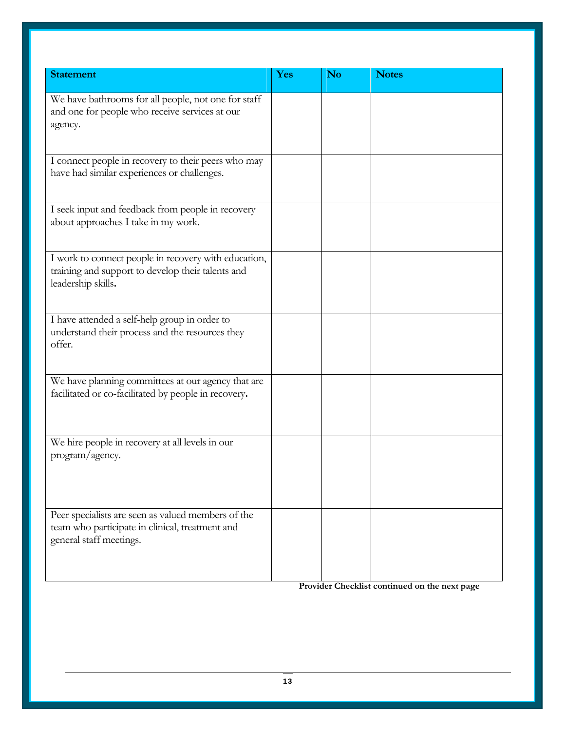| <b>Statement</b>                                                                                                                 | Yes | <b>No</b> | <b>Notes</b> |
|----------------------------------------------------------------------------------------------------------------------------------|-----|-----------|--------------|
| We have bathrooms for all people, not one for staff<br>and one for people who receive services at our<br>agency.                 |     |           |              |
| I connect people in recovery to their peers who may<br>have had similar experiences or challenges.                               |     |           |              |
| I seek input and feedback from people in recovery<br>about approaches I take in my work.                                         |     |           |              |
| I work to connect people in recovery with education,<br>training and support to develop their talents and<br>leadership skills.  |     |           |              |
| I have attended a self-help group in order to<br>understand their process and the resources they<br>offer.                       |     |           |              |
| We have planning committees at our agency that are<br>facilitated or co-facilitated by people in recovery.                       |     |           |              |
| We hire people in recovery at all levels in our<br>program/agency.                                                               |     |           |              |
| Peer specialists are seen as valued members of the<br>team who participate in clinical, treatment and<br>general staff meetings. |     |           |              |

**Provider Checklist continued on the next page**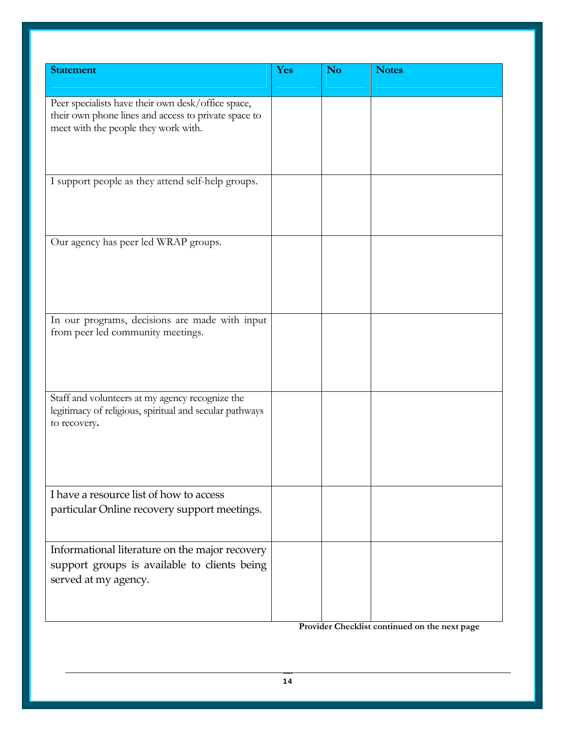| <b>Statement</b>                                                                                           | Yes | <b>No</b> | <b>Notes</b> |
|------------------------------------------------------------------------------------------------------------|-----|-----------|--------------|
|                                                                                                            |     |           |              |
| Peer specialists have their own desk/office space,<br>their own phone lines and access to private space to |     |           |              |
| meet with the people they work with.                                                                       |     |           |              |
|                                                                                                            |     |           |              |
|                                                                                                            |     |           |              |
| I support people as they attend self-help groups.                                                          |     |           |              |
|                                                                                                            |     |           |              |
|                                                                                                            |     |           |              |
| Our agency has peer led WRAP groups.                                                                       |     |           |              |
|                                                                                                            |     |           |              |
|                                                                                                            |     |           |              |
|                                                                                                            |     |           |              |
|                                                                                                            |     |           |              |
| In our programs, decisions are made with input                                                             |     |           |              |
| from peer led community meetings.                                                                          |     |           |              |
|                                                                                                            |     |           |              |
|                                                                                                            |     |           |              |
|                                                                                                            |     |           |              |
| Staff and volunteers at my agency recognize the<br>legitimacy of religious, spiritual and secular pathways |     |           |              |
| to recovery.                                                                                               |     |           |              |
|                                                                                                            |     |           |              |
|                                                                                                            |     |           |              |
|                                                                                                            |     |           |              |
| I have a resource list of how to access                                                                    |     |           |              |
| particular Online recovery support meetings.                                                               |     |           |              |
|                                                                                                            |     |           |              |
| Informational literature on the major recovery                                                             |     |           |              |
| support groups is available to clients being                                                               |     |           |              |
| served at my agency.                                                                                       |     |           |              |
|                                                                                                            |     |           |              |
|                                                                                                            |     |           |              |

 **Provider Checklist continued on the next page**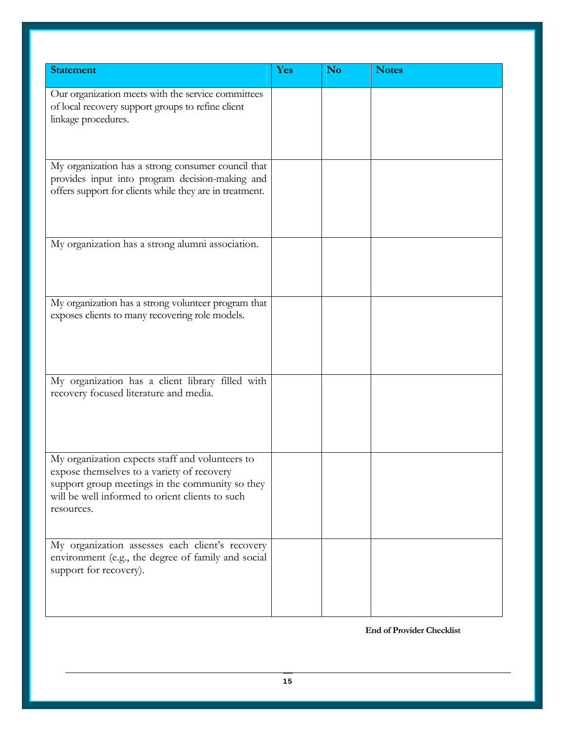| <b>Statement</b>                                                                                                                                                                                                  | Yes | <b>No</b> | <b>Notes</b> |
|-------------------------------------------------------------------------------------------------------------------------------------------------------------------------------------------------------------------|-----|-----------|--------------|
| Our organization meets with the service committees<br>of local recovery support groups to refine client<br>linkage procedures.                                                                                    |     |           |              |
| My organization has a strong consumer council that<br>provides input into program decision-making and<br>offers support for clients while they are in treatment.                                                  |     |           |              |
| My organization has a strong alumni association.                                                                                                                                                                  |     |           |              |
| My organization has a strong volunteer program that<br>exposes clients to many recovering role models.                                                                                                            |     |           |              |
| My organization has a client library filled with<br>recovery focused literature and media.                                                                                                                        |     |           |              |
| My organization expects staff and volunteers to<br>expose themselves to a variety of recovery<br>support group meetings in the community so they<br>will be well informed to orient clients to such<br>resources. |     |           |              |
| My organization assesses each client's recovery<br>environment (e.g., the degree of family and social<br>support for recovery).                                                                                   |     |           |              |

**End of Provider Checklist**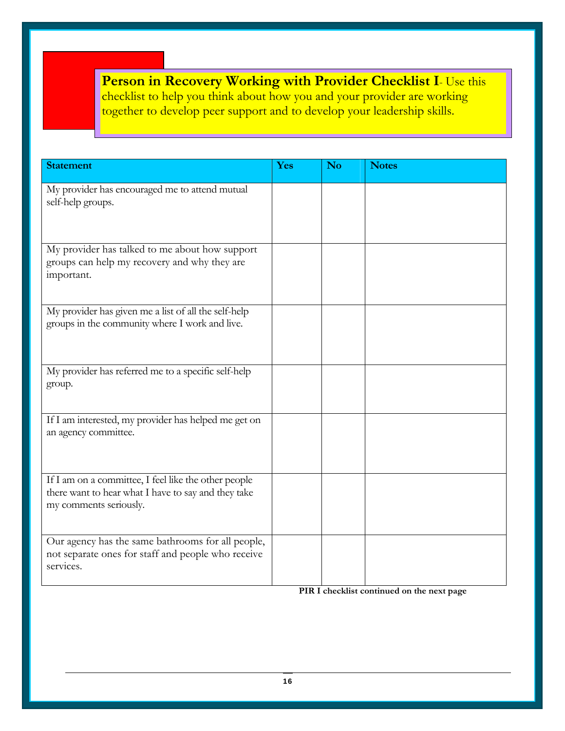**Person in Recovery Working with Provider Checklist I**- Use this checklist to help you think about how you and your provider are working together to develop peer support and to develop your leadership skills.

| <b>Statement</b>                                                                                                                      | Yes | N <sub>o</sub> | <b>Notes</b> |
|---------------------------------------------------------------------------------------------------------------------------------------|-----|----------------|--------------|
| My provider has encouraged me to attend mutual<br>self-help groups.                                                                   |     |                |              |
| My provider has talked to me about how support<br>groups can help my recovery and why they are<br>important.                          |     |                |              |
| My provider has given me a list of all the self-help<br>groups in the community where I work and live.                                |     |                |              |
| My provider has referred me to a specific self-help<br>group.                                                                         |     |                |              |
| If I am interested, my provider has helped me get on<br>an agency committee.                                                          |     |                |              |
| If I am on a committee, I feel like the other people<br>there want to hear what I have to say and they take<br>my comments seriously. |     |                |              |
| Our agency has the same bathrooms for all people,<br>not separate ones for staff and people who receive<br>services.                  |     |                |              |

 **PIR I checklist continued on the next page**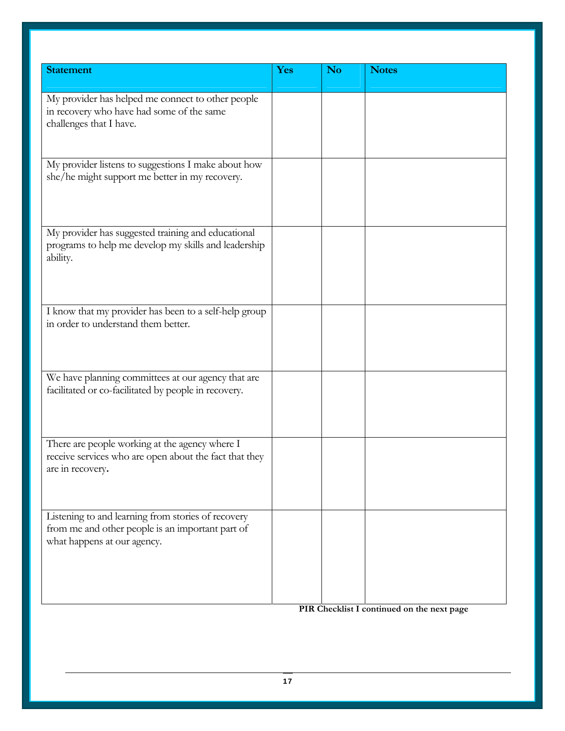| <b>Statement</b>                                                                                                                      | <b>Yes</b> | N <sub>o</sub> | <b>Notes</b> |
|---------------------------------------------------------------------------------------------------------------------------------------|------------|----------------|--------------|
| My provider has helped me connect to other people<br>in recovery who have had some of the same<br>challenges that I have.             |            |                |              |
| My provider listens to suggestions I make about how<br>she/he might support me better in my recovery.                                 |            |                |              |
| My provider has suggested training and educational<br>programs to help me develop my skills and leadership<br>ability.                |            |                |              |
| I know that my provider has been to a self-help group<br>in order to understand them better.                                          |            |                |              |
| We have planning committees at our agency that are<br>facilitated or co-facilitated by people in recovery.                            |            |                |              |
| There are people working at the agency where I<br>receive services who are open about the fact that they<br>are in recovery.          |            |                |              |
| Listening to and learning from stories of recovery<br>from me and other people is an important part of<br>what happens at our agency. |            |                |              |

**PIR Checklist I continued on the next page**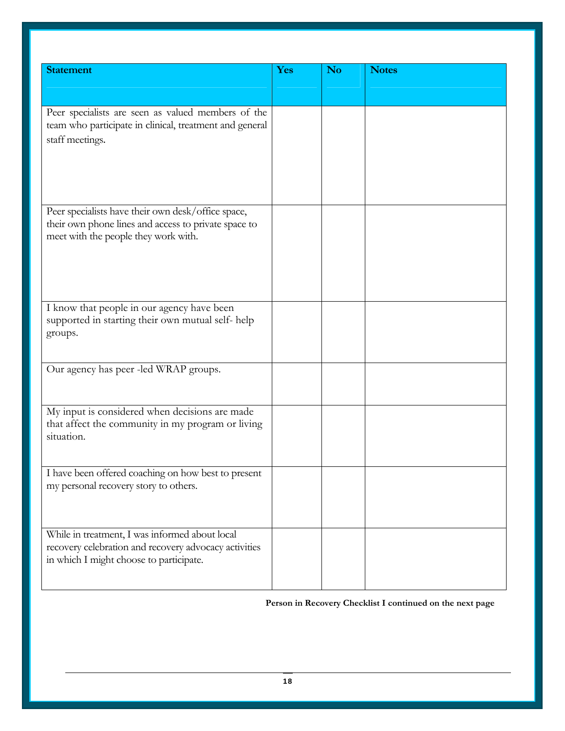| <b>Statement</b>                                                | Yes | N <sub>o</sub> | <b>Notes</b> |
|-----------------------------------------------------------------|-----|----------------|--------------|
|                                                                 |     |                |              |
|                                                                 |     |                |              |
|                                                                 |     |                |              |
| Peer specialists are seen as valued members of the              |     |                |              |
| team who participate in clinical, treatment and general         |     |                |              |
| staff meetings.                                                 |     |                |              |
|                                                                 |     |                |              |
|                                                                 |     |                |              |
|                                                                 |     |                |              |
|                                                                 |     |                |              |
|                                                                 |     |                |              |
| Peer specialists have their own desk/office space,              |     |                |              |
| their own phone lines and access to private space to            |     |                |              |
| meet with the people they work with.                            |     |                |              |
|                                                                 |     |                |              |
|                                                                 |     |                |              |
|                                                                 |     |                |              |
|                                                                 |     |                |              |
|                                                                 |     |                |              |
| I know that people in our agency have been                      |     |                |              |
| supported in starting their own mutual self-help                |     |                |              |
| groups.                                                         |     |                |              |
|                                                                 |     |                |              |
|                                                                 |     |                |              |
| Our agency has peer -led WRAP groups.                           |     |                |              |
|                                                                 |     |                |              |
|                                                                 |     |                |              |
| My input is considered when decisions are made                  |     |                |              |
|                                                                 |     |                |              |
| that affect the community in my program or living<br>situation. |     |                |              |
|                                                                 |     |                |              |
|                                                                 |     |                |              |
| I have been offered coaching on how best to present             |     |                |              |
| my personal recovery story to others.                           |     |                |              |
|                                                                 |     |                |              |
|                                                                 |     |                |              |
|                                                                 |     |                |              |
| While in treatment, I was informed about local                  |     |                |              |
| recovery celebration and recovery advocacy activities           |     |                |              |
| in which I might choose to participate.                         |     |                |              |
|                                                                 |     |                |              |
|                                                                 |     |                |              |

#### **Person in Recovery Checklist I continued on the next page**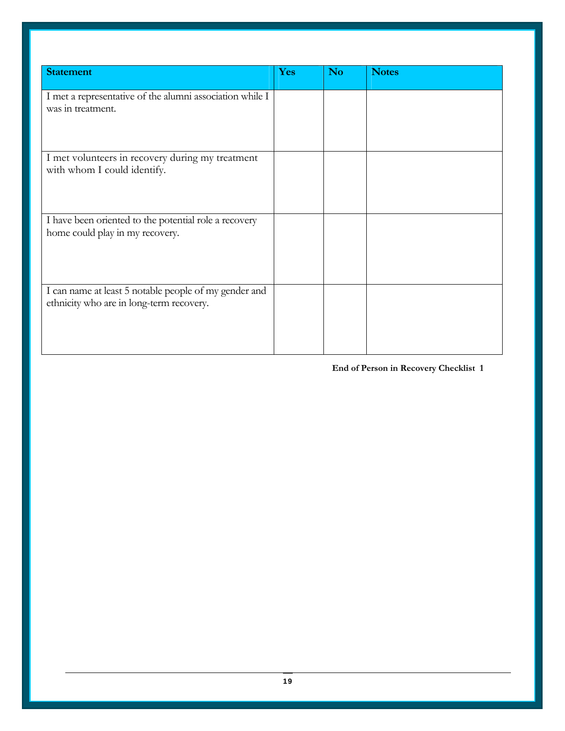| <b>Statement</b>                                                                                  | Yes | <b>No</b> | <b>Notes</b> |
|---------------------------------------------------------------------------------------------------|-----|-----------|--------------|
| I met a representative of the alumni association while I<br>was in treatment.                     |     |           |              |
| I met volunteers in recovery during my treatment<br>with whom I could identify.                   |     |           |              |
| I have been oriented to the potential role a recovery<br>home could play in my recovery.          |     |           |              |
| I can name at least 5 notable people of my gender and<br>ethnicity who are in long-term recovery. |     |           |              |

#### **End of Person in Recovery Checklist 1**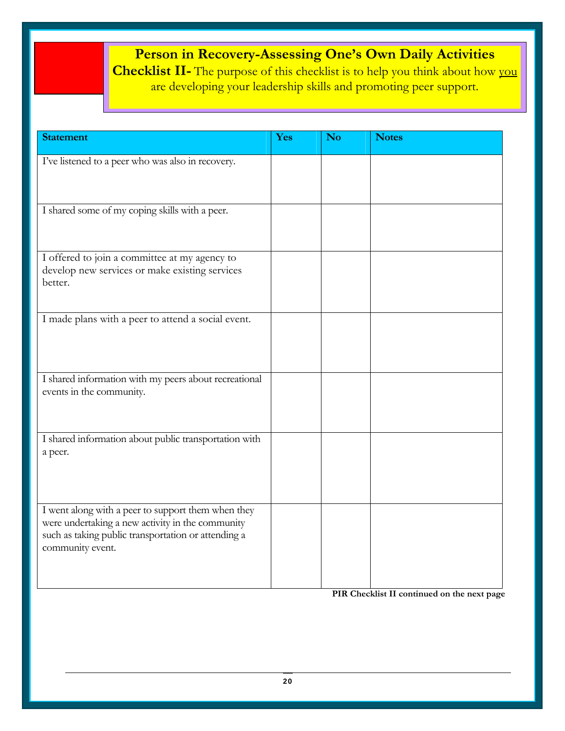# **Person in Recovery-Assessing One's Own Daily Activities**

**Checklist II-** The purpose of this checklist is to help you think about how you are developing your leadership skills and promoting peer support.

| <b>Statement</b>                                                                                                                                                                  | Yes | <b>No</b> | <b>Notes</b> |
|-----------------------------------------------------------------------------------------------------------------------------------------------------------------------------------|-----|-----------|--------------|
| I've listened to a peer who was also in recovery.                                                                                                                                 |     |           |              |
| I shared some of my coping skills with a peer.                                                                                                                                    |     |           |              |
| I offered to join a committee at my agency to<br>develop new services or make existing services<br>better.                                                                        |     |           |              |
| I made plans with a peer to attend a social event.                                                                                                                                |     |           |              |
| I shared information with my peers about recreational<br>events in the community.                                                                                                 |     |           |              |
| I shared information about public transportation with<br>a peer.                                                                                                                  |     |           |              |
| I went along with a peer to support them when they<br>were undertaking a new activity in the community<br>such as taking public transportation or attending a<br>community event. |     |           |              |

 **PIR Checklist II continued on the next page**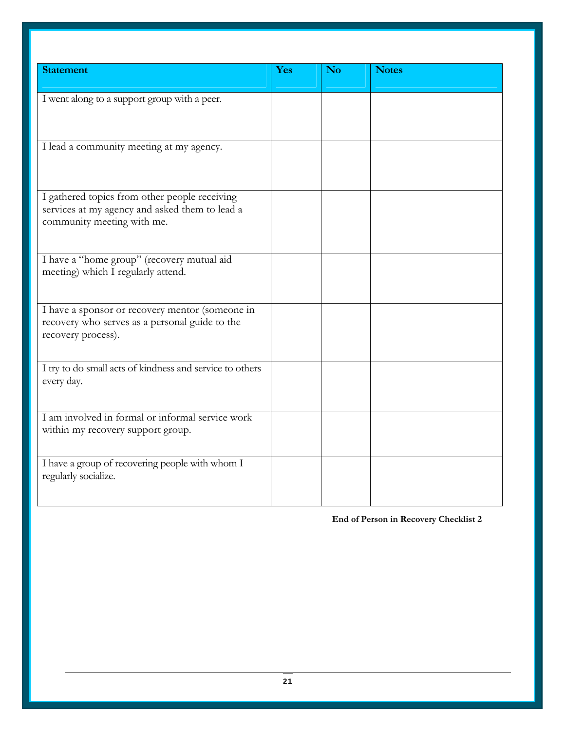| <b>Statement</b>                                                                                                              | Yes | <b>No</b> | <b>Notes</b> |
|-------------------------------------------------------------------------------------------------------------------------------|-----|-----------|--------------|
| I went along to a support group with a peer.                                                                                  |     |           |              |
| I lead a community meeting at my agency.                                                                                      |     |           |              |
| I gathered topics from other people receiving<br>services at my agency and asked them to lead a<br>community meeting with me. |     |           |              |
| I have a "home group" (recovery mutual aid<br>meeting) which I regularly attend.                                              |     |           |              |
| I have a sponsor or recovery mentor (someone in<br>recovery who serves as a personal guide to the<br>recovery process).       |     |           |              |
| I try to do small acts of kindness and service to others<br>every day.                                                        |     |           |              |
| I am involved in formal or informal service work<br>within my recovery support group.                                         |     |           |              |
| I have a group of recovering people with whom I<br>regularly socialize.                                                       |     |           |              |

**End of Person in Recovery Checklist 2**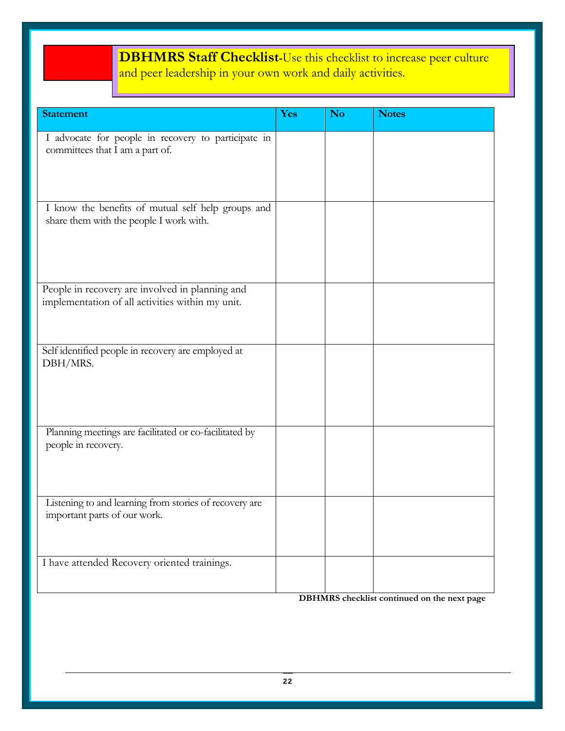# **DBHMRS Staff Checklist-**Use this checklist to increase peer culture and peer leadership in your own work and daily activities.

֖֖֖֖֖֦֦֦֦֧֧֧֦֦֧֧֧֧֪֪֪֧֚֚֚֚֚֚֚֚֚֚֚֚֚֚֚֞֝֓֡֡֡֡֡֬֡֡֬֓֡֡֡֬֓֞֡֡֬֓֞֡֡֬֓֞֡֬֝֬֞֞֬֓֞֞֞֡֝֬֞

| <b>Statement</b>                                                                              | Yes | <b>No</b> | <b>Notes</b> |
|-----------------------------------------------------------------------------------------------|-----|-----------|--------------|
| I advocate for people in recovery to participate in<br>committees that I am a part of.        |     |           |              |
| I know the benefits of mutual self help groups and<br>share them with the people I work with. |     |           |              |
| People in recovery are involved in planning and                                               |     |           |              |
| implementation of all activities within my unit.                                              |     |           |              |
| Self identified people in recovery are employed at<br>DBH/MRS.                                |     |           |              |
| Planning meetings are facilitated or co-facilitated by<br>people in recovery.                 |     |           |              |
| Listening to and learning from stories of recovery are<br>important parts of our work.        |     |           |              |
| I have attended Recovery oriented trainings.                                                  |     |           |              |

**DBHMRS checklist continued on the next page**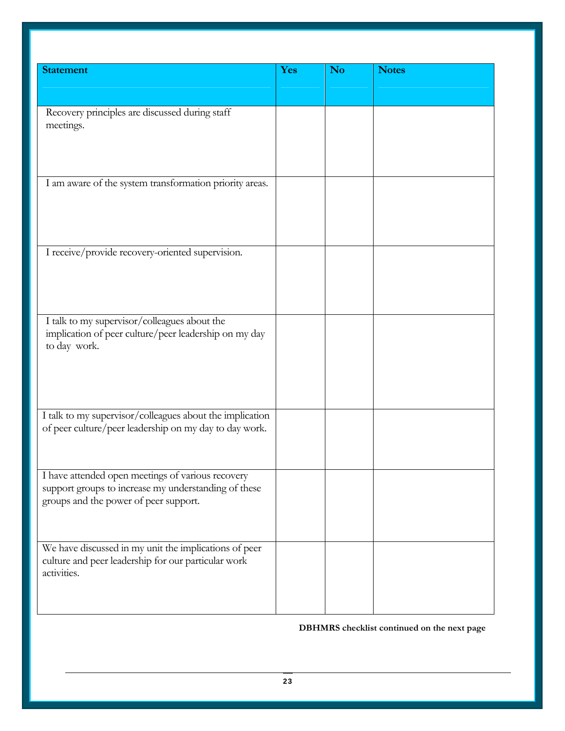| <b>Statement</b>                                                                                                                                   | Yes | <b>No</b> | <b>Notes</b> |
|----------------------------------------------------------------------------------------------------------------------------------------------------|-----|-----------|--------------|
|                                                                                                                                                    |     |           |              |
| Recovery principles are discussed during staff<br>meetings.                                                                                        |     |           |              |
| I am aware of the system transformation priority areas.                                                                                            |     |           |              |
| I receive/provide recovery-oriented supervision.                                                                                                   |     |           |              |
| I talk to my supervisor/colleagues about the<br>implication of peer culture/peer leadership on my day<br>to day work.                              |     |           |              |
| I talk to my supervisor/colleagues about the implication<br>of peer culture/peer leadership on my day to day work.                                 |     |           |              |
| I have attended open meetings of various recovery<br>support groups to increase my understanding of these<br>groups and the power of peer support. |     |           |              |
| We have discussed in my unit the implications of peer<br>culture and peer leadership for our particular work<br>activities.                        |     |           |              |

**DBHMRS checklist continued on the next page**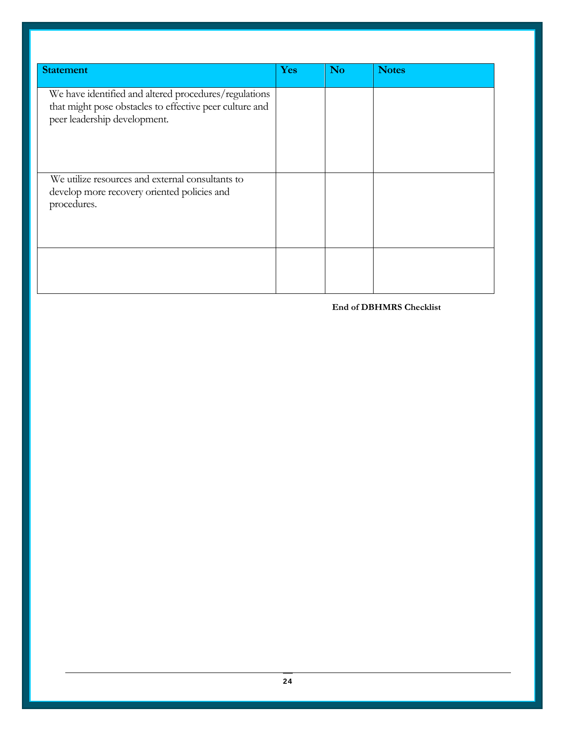| <b>Statement</b>                                                                                                                                 | Yes | <b>No</b> | <b>Notes</b> |
|--------------------------------------------------------------------------------------------------------------------------------------------------|-----|-----------|--------------|
| We have identified and altered procedures/regulations<br>that might pose obstacles to effective peer culture and<br>peer leadership development. |     |           |              |
| We utilize resources and external consultants to<br>develop more recovery oriented policies and<br>procedures.                                   |     |           |              |
|                                                                                                                                                  |     |           |              |

**End of DBHMRS Checklist**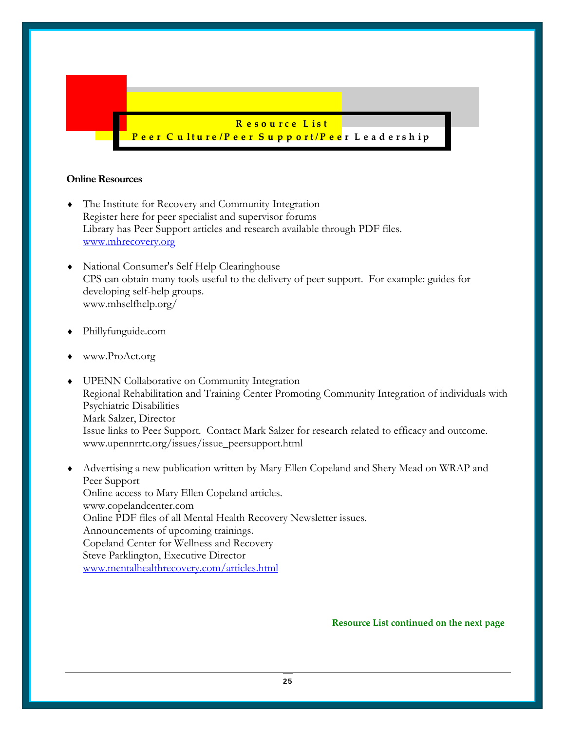

#### **Online Resources**

- ♦ The Institute for Recovery and Community Integration Register here for peer specialist and supervisor forums Library has Peer Support articles and research available through PDF files. www.mhrecovery.org
- National Consumer's Self Help Clearinghouse CPS can obtain many tools useful to the delivery of peer support. For example: guides for developing self-help groups. www.mhselfhelp.org/
- ♦ Phillyfunguide.com
- www.ProAct.org
- UPENN Collaborative on Community Integration Regional Rehabilitation and Training Center Promoting Community Integration of individuals with Psychiatric Disabilities Mark Salzer, Director Issue links to Peer Support. Contact Mark Salzer for research related to efficacy and outcome. www.upennrrtc.org/issues/issue\_peersupport.html
- ♦ Advertising a new publication written by Mary Ellen Copeland and Shery Mead on WRAP and Peer Support Online access to Mary Ellen Copeland articles. www.copelandcenter.com Online PDF files of all Mental Health Recovery Newsletter issues. Announcements of upcoming trainings. Copeland Center for Wellness and Recovery Steve Parklington, Executive Director www.mentalhealthrecovery.com/articles.html

 **Resource List continued on the next page**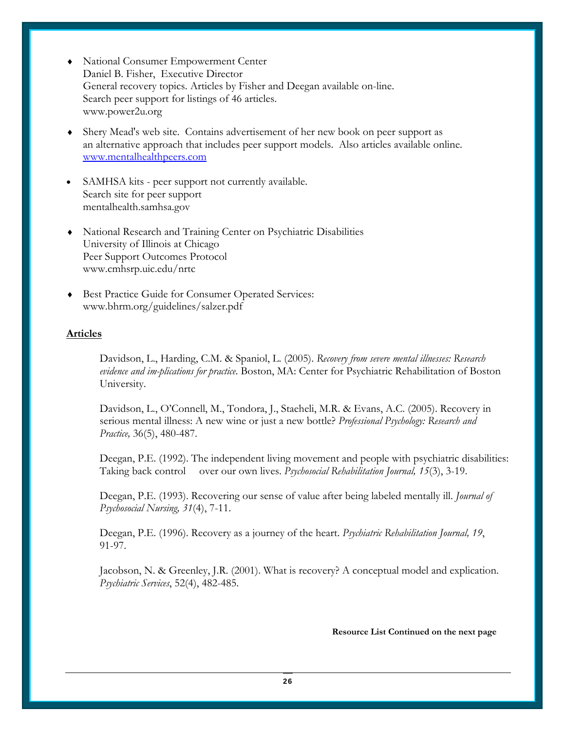- National Consumer Empowerment Center Daniel B. Fisher, Executive Director General recovery topics. Articles by Fisher and Deegan available on-line. Search peer support for listings of 46 articles. www.power2u.org
- ♦ Shery Mead's web site. Contains advertisement of her new book on peer support as an alternative approach that includes peer support models. Also articles available online. www.mentalhealthpeers.com
- SAMHSA kits peer support not currently available. Search site for peer support mentalhealth.samhsa.gov
- ♦ National Research and Training Center on Psychiatric Disabilities University of Illinois at Chicago Peer Support Outcomes Protocol www.cmhsrp.uic.edu/nrtc
- ♦ Best Practice Guide for Consumer Operated Services: www.bhrm.org/guidelines/salzer.pdf

#### **Articles**

Davidson, L., Harding, C.M. & Spaniol, L. (2005). *Recovery from severe mental illnesses: Research evidence and im-plications for practice*. Boston, MA: Center for Psychiatric Rehabilitation of Boston University.

 Davidson, L., O'Connell, M., Tondora, J., Staeheli, M.R. & Evans, A.C. (2005). Recovery in serious mental illness: A new wine or just a new bottle? *Professional Psychology: Research and Practice,* 36(5), 480-487.

Deegan, P.E. (1992). The independent living movement and people with psychiatric disabilities: Taking back control over our own lives. *Psychosocial Rehabilitation Journal, 15*(3), 3-19.

Deegan, P.E. (1993). Recovering our sense of value after being labeled mentally ill. *Journal of Psychosocial Nursing, 31*(4), 7-11.

Deegan, P.E. (1996). Recovery as a journey of the heart. *Psychiatric Rehabilitation Journal, 19*, 91-97.

Jacobson, N. & Greenley, J.R. (2001). What is recovery? A conceptual model and explication. *Psychiatric Services*, 52(4), 482-485.

#### **Resource List Continued on the next page**